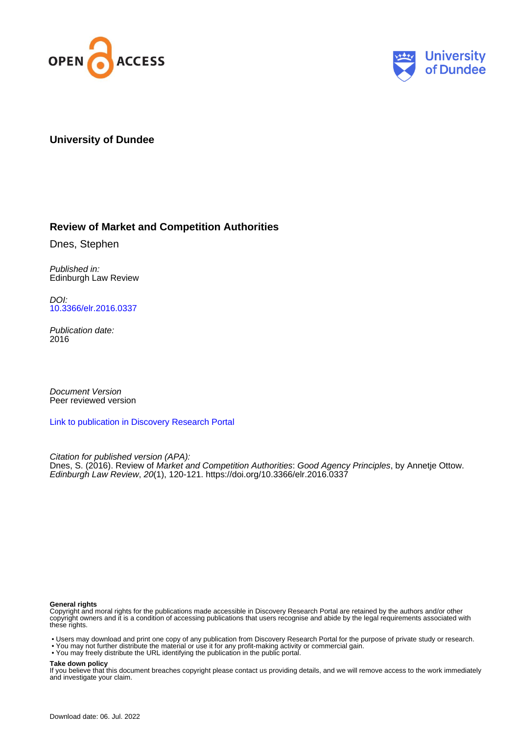



# **University of Dundee**

# **Review of Market and Competition Authorities**

Dnes, Stephen

Published in: Edinburgh Law Review

DOI: [10.3366/elr.2016.0337](https://doi.org/10.3366/elr.2016.0337)

Publication date: 2016

Document Version Peer reviewed version

[Link to publication in Discovery Research Portal](https://discovery.dundee.ac.uk/en/publications/148141c7-52e3-4261-a83d-1fd02795bcde)

Citation for published version (APA): Dnes, S. (2016). Review of Market and Competition Authorities: Good Agency Principles, by Annetie Ottow. Edinburgh Law Review, 20(1), 120-121. <https://doi.org/10.3366/elr.2016.0337>

#### **General rights**

Copyright and moral rights for the publications made accessible in Discovery Research Portal are retained by the authors and/or other copyright owners and it is a condition of accessing publications that users recognise and abide by the legal requirements associated with these rights.

- Users may download and print one copy of any publication from Discovery Research Portal for the purpose of private study or research.
- You may not further distribute the material or use it for any profit-making activity or commercial gain.
- You may freely distribute the URL identifying the publication in the public portal.

#### **Take down policy**

If you believe that this document breaches copyright please contact us providing details, and we will remove access to the work immediately and investigate your claim.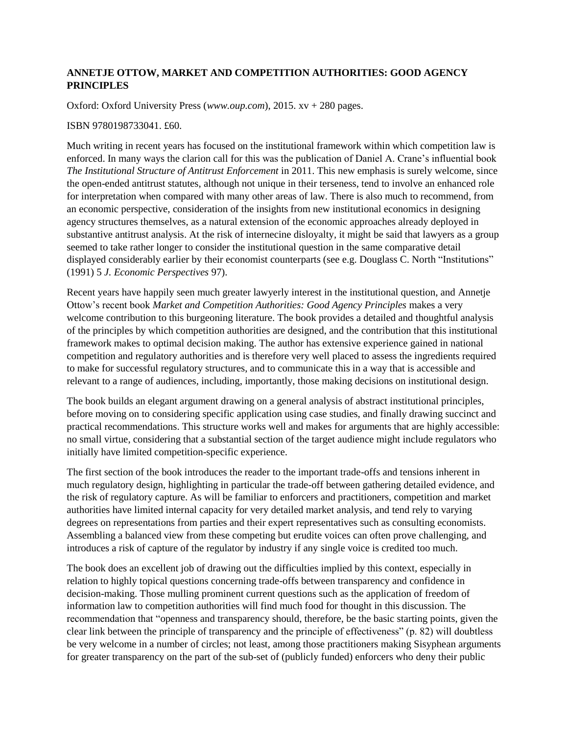## **ANNETJE OTTOW, MARKET AND COMPETITION AUTHORITIES: GOOD AGENCY PRINCIPLES**

Oxford: Oxford University Press (*www.oup.com*), 2015. xv + 280 pages.

### ISBN 9780198733041. £60.

Much writing in recent years has focused on the institutional framework within which competition law is enforced. In many ways the clarion call for this was the publication of Daniel A. Crane's influential book *The Institutional Structure of Antitrust Enforcement* in 2011. This new emphasis is surely welcome, since the open-ended antitrust statutes, although not unique in their terseness, tend to involve an enhanced role for interpretation when compared with many other areas of law. There is also much to recommend, from an economic perspective, consideration of the insights from new institutional economics in designing agency structures themselves, as a natural extension of the economic approaches already deployed in substantive antitrust analysis. At the risk of internecine disloyalty, it might be said that lawyers as a group seemed to take rather longer to consider the institutional question in the same comparative detail displayed considerably earlier by their economist counterparts (see e.g. Douglass C. North "Institutions" (1991) 5 *J. Economic Perspectives* 97).

Recent years have happily seen much greater lawyerly interest in the institutional question, and Annetje Ottow's recent book *Market and Competition Authorities: Good Agency Principles* makes a very welcome contribution to this burgeoning literature. The book provides a detailed and thoughtful analysis of the principles by which competition authorities are designed, and the contribution that this institutional framework makes to optimal decision making. The author has extensive experience gained in national competition and regulatory authorities and is therefore very well placed to assess the ingredients required to make for successful regulatory structures, and to communicate this in a way that is accessible and relevant to a range of audiences, including, importantly, those making decisions on institutional design.

The book builds an elegant argument drawing on a general analysis of abstract institutional principles, before moving on to considering specific application using case studies, and finally drawing succinct and practical recommendations. This structure works well and makes for arguments that are highly accessible: no small virtue, considering that a substantial section of the target audience might include regulators who initially have limited competition-specific experience.

The first section of the book introduces the reader to the important trade-offs and tensions inherent in much regulatory design, highlighting in particular the trade-off between gathering detailed evidence, and the risk of regulatory capture. As will be familiar to enforcers and practitioners, competition and market authorities have limited internal capacity for very detailed market analysis, and tend rely to varying degrees on representations from parties and their expert representatives such as consulting economists. Assembling a balanced view from these competing but erudite voices can often prove challenging, and introduces a risk of capture of the regulator by industry if any single voice is credited too much.

The book does an excellent job of drawing out the difficulties implied by this context, especially in relation to highly topical questions concerning trade-offs between transparency and confidence in decision-making. Those mulling prominent current questions such as the application of freedom of information law to competition authorities will find much food for thought in this discussion. The recommendation that "openness and transparency should, therefore, be the basic starting points, given the clear link between the principle of transparency and the principle of effectiveness" (p. 82) will doubtless be very welcome in a number of circles; not least, among those practitioners making Sisyphean arguments for greater transparency on the part of the sub-set of (publicly funded) enforcers who deny their public